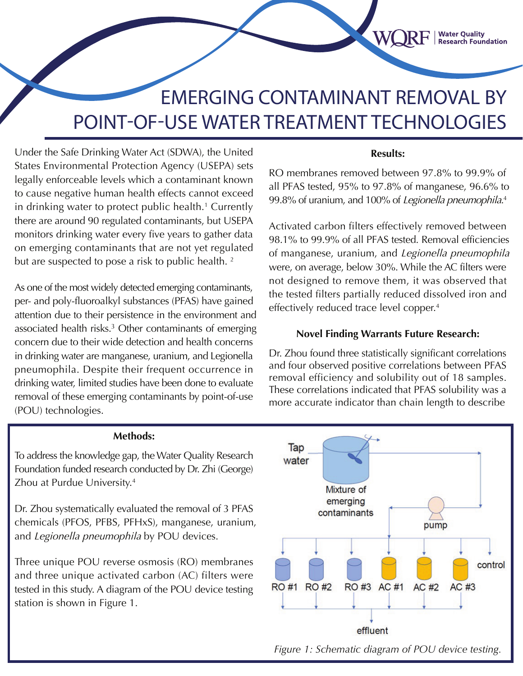# EMERGING CONTAMINANT REMOVAL BY POINT-OF-USE WATER TREATMENT TECHNOLOGIES

Under the Safe Drinking Water Act (SDWA), the United States Environmental Protection Agency (USEPA) sets legally enforceable levels which a contaminant known to cause negative human health effects cannot exceed in drinking water to protect public health.<sup>1</sup> Currently there are around 90 regulated contaminants, but USEPA monitors drinking water every five years to gather data on emerging contaminants that are not yet regulated but are suspected to pose a risk to public health.<sup>2</sup>

As one of the most widely detected emerging contaminants, per- and poly-fluoroalkyl substances (PFAS) have gained attention due to their persistence in the environment and associated health risks.<sup>3</sup> Other contaminants of emerging concern due to their wide detection and health concerns in drinking water are manganese, uranium, and Legionella pneumophila. Despite their frequent occurrence in drinking water, limited studies have been done to evaluate removal of these emerging contaminants by point-of-use (POU) technologies.

#### **Results:**

**Water Quality<br>Research Foundation** 

RO membranes removed between 97.8% to 99.9% of all PFAS tested, 95% to 97.8% of manganese, 96.6% to 99.8% of uranium, and 100% of *Legionella pneumophila*.<sup>4</sup>

Activated carbon filters effectively removed between 98.1% to 99.9% of all PFAS tested. Removal efficiencies of manganese, uranium, and Legionella pneumophila were, on average, below 30%. While the AC filters were not designed to remove them, it was observed that the tested filters partially reduced dissolved iron and effectively reduced trace level copper. 4

#### **Novel Finding Warrants Future Research:**

Dr. Zhou found three statistically significant correlations and four observed positive correlations between PFAS removal efficiency and solubility out of 18 samples. These correlations indicated that PFAS solubility was a more accurate indicator than chain length to describe

#### **Methods:**

To address the knowledge gap, the Water Quality Research Foundation funded research conducted by Dr. Zhi (George) Zhou at Purdue University. 4

Dr. Zhou systematically evaluated the removal of 3 PFAS chemicals (PFOS, PFBS, PFHxS), manganese, uranium, and Legionella pneumophila by POU devices.

Three unique POU reverse osmosis (RO) membranes and three unique activated carbon (AC) filters were tested in this study. A diagram of the POU device testing station is shown in Figure 1.



*Figure 1: Schematic diagram of POU device testing.*